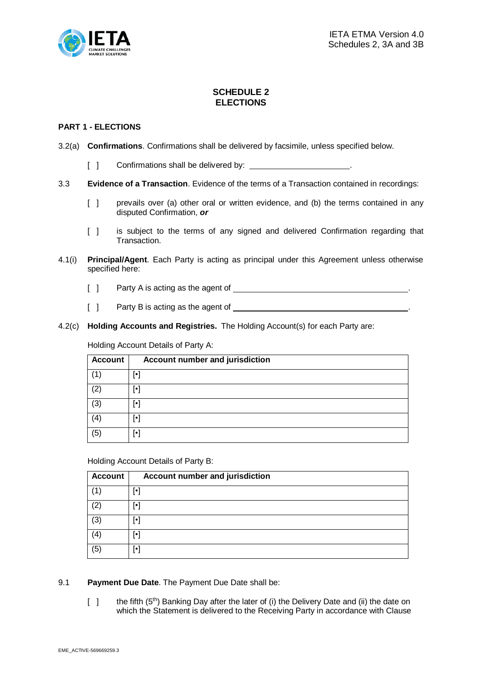

# **SCHEDULE 2 ELECTIONS**

### **PART 1 - ELECTIONS**

- 3.2(a) **Confirmations**. Confirmations shall be delivered by facsimile, unless specified below.
	- [ ] Confirmations shall be delivered by: \_\_\_\_\_\_\_\_\_\_\_\_\_\_\_\_\_\_\_\_\_\_\_.
- 3.3 **Evidence of a Transaction**. Evidence of the terms of a Transaction contained in recordings:
	- [ ] prevails over (a) other oral or written evidence, and (b) the terms contained in any disputed Confirmation, *or*
	- [ ] is subject to the terms of any signed and delivered Confirmation regarding that Transaction.
- 4.1(i) **Principal/Agent**. Each Party is acting as principal under this Agreement unless otherwise specified here:
	- [ ] Party A is acting as the agent of .
	- [ ] Party B is acting as the agent of
- 4.2(c) **Holding Accounts and Registries.** The Holding Account(s) for each Party are:

Holding Account Details of Party A:

| <b>Account</b> | Account number and jurisdiction |
|----------------|---------------------------------|
| 1              | [•]                             |
| (2)            | [۰                              |
| (3)            | [۰                              |
| (4)            | $\lceil \bullet \rceil$         |
| (5)            | [∙]                             |

Holding Account Details of Party B:

| <b>Account</b> | Account number and jurisdiction |
|----------------|---------------------------------|
| 1              | $\lceil \cdot \rceil$           |
| (2)            | ſ۰                              |
| (3)            | $\lceil \cdot \rceil$           |
| (4)            | ſ٠                              |
| (5)            | [∙]                             |

- 9.1 **Payment Due Date**. The Payment Due Date shall be:
	- [ ] the fifth (5<sup>th</sup>) Banking Day after the later of (i) the Delivery Date and (ii) the date on which the Statement is delivered to the Receiving Party in accordance with Clause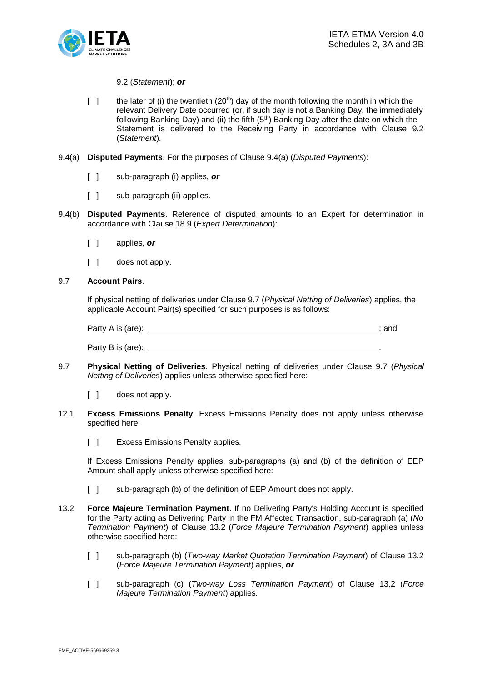

#### 9.2 (*Statement*); *or*

- $\begin{bmatrix} 1 \end{bmatrix}$  the later of (i) the twentieth (20<sup>th</sup>) day of the month following the month in which the relevant Delivery Date occurred (or, if such day is not a Banking Day, the immediately following Banking Day) and (ii) the fifth (5<sup>th</sup>) Banking Day after the date on which the Statement is delivered to the Receiving Party in accordance with Clause 9.2 (*Statement*).
- 9.4(a) **Disputed Payments**. For the purposes of Clause 9.4(a) (*Disputed Payments*):
	- [ ] sub-paragraph (i) applies, *or*
	- [ ] sub-paragraph (ii) applies.
- 9.4(b) **Disputed Payments**. Reference of disputed amounts to an Expert for determination in accordance with Clause 18.9 (*Expert Determination*):
	- [ ] applies, **or**
	- [ ] does not apply.

#### 9.7 **Account Pairs**.

If physical netting of deliveries under Clause 9.7 (*Physical Netting of Deliveries*) applies, the applicable Account Pair(s) specified for such purposes is as follows:

| Party A is (are): | ∸and |
|-------------------|------|
|                   |      |
| Party B is (are): |      |

- 9.7 **Physical Netting of Deliveries**. Physical netting of deliveries under Clause 9.7 (*Physical Netting of Deliveries*) applies unless otherwise specified here:
	- [ ] does not apply.
- 12.1 **Excess Emissions Penalty**. Excess Emissions Penalty does not apply unless otherwise specified here:
	- [ ] Excess Emissions Penalty applies.

If Excess Emissions Penalty applies, sub-paragraphs (a) and (b) of the definition of EEP Amount shall apply unless otherwise specified here:

- [ ] sub-paragraph (b) of the definition of EEP Amount does not apply.
- 13.2 **Force Majeure Termination Payment**. If no Delivering Party's Holding Account is specified for the Party acting as Delivering Party in the FM Affected Transaction, sub-paragraph (a) (*No Termination Payment*) of Clause 13.2 (*Force Majeure Termination Payment*) applies unless otherwise specified here:
	- [ ] sub-paragraph (b) (*Two-way Market Quotation Termination Payment*) of Clause 13.2 (*Force Majeure Termination Payment*) applies, *or*
	- [ ] sub-paragraph (c) (*Two-way Loss Termination Payment*) of Clause 13.2 (*Force Majeure Termination Payment*) applies.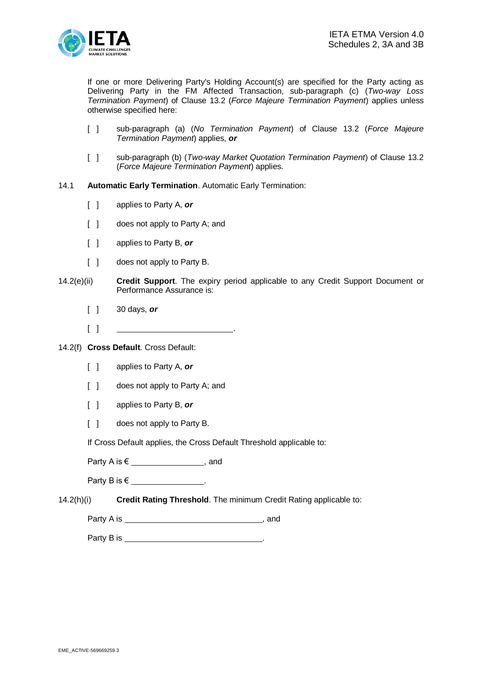

If one or more Delivering Party's Holding Account(s) are specified for the Party acting as Delivering Party in the FM Affected Transaction, sub-paragraph (c) (*Two-way Loss Termination Payment*) of Clause 13.2 (*Force Majeure Termination Payment*) applies unless otherwise specified here:

- [ ] sub-paragraph (a) (*No Termination Payment*) of Clause 13.2 (*Force Majeure Termination Payment*) applies, *or*
- [ ] sub-paragraph (b) (*Two-way Market Quotation Termination Payment*) of Clause 13.2 (*Force Majeure Termination Payment*) applies.
- 14.1 **Automatic Early Termination**. Automatic Early Termination:
	- [ ] applies to Party A, *or*
	- [ ] does not apply to Party A; and
	- [ ] applies to Party B, *or*
	- [ ] does not apply to Party B.
- 14.2(e)(ii) **Credit Support**. The expiry period applicable to any Credit Support Document or Performance Assurance is:
	- [ ] 30 days, *or*
	- [ ] . <u>. . . . . . . . . . . . . . . . .</u> .
- 14.2(f) **Cross Default**. Cross Default:
	- [ ] applies to Party A, *or*
	- [ ] does not apply to Party A; and
	- [ ] applies to Party B, *or*
	- [ ] does not apply to Party B.

If Cross Default applies, the Cross Default Threshold applicable to:

Party A is  $\epsilon$   $\qquad \qquad$  , and

- Party B is  $€$  .
- 14.2(h)(i) **Credit Rating Threshold**. The minimum Credit Rating applicable to:
	- Party A is , and

Party B is .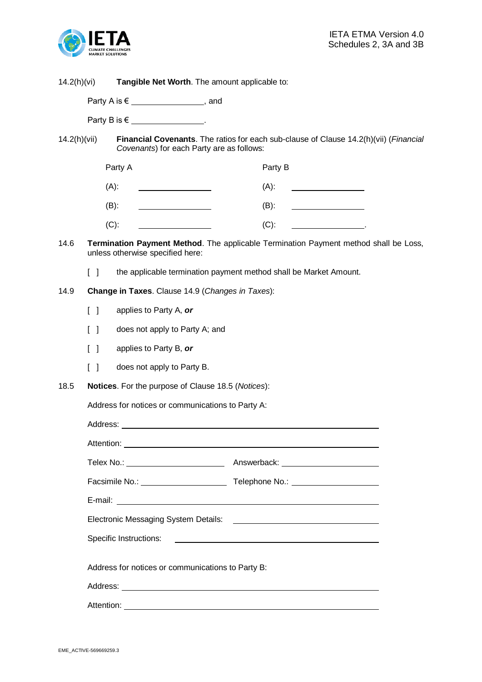

| 14.2(h)(vi) |  | Tangible Net Worth. The amount applicable to: |
|-------------|--|-----------------------------------------------|
|-------------|--|-----------------------------------------------|

Party A is  $\epsilon$  \_\_\_\_\_\_\_\_\_\_\_\_\_\_\_\_\_\_, and

Party B is  $€$  .

14.2(h)(vii) **Financial Covenants**. The ratios for each sub-clause of Clause 14.2(h)(vii) (*Financial Covenants*) for each Party are as follows:

| Party A | Party B |
|---------|---------|
| $(A)$ : | $(A)$ : |
| $(B)$ : | $(B)$ : |
| $(C)$ : | $(C)$ : |

- 14.6 **Termination Payment Method**. The applicable Termination Payment method shall be Loss, unless otherwise specified here:
	- [ ] the applicable termination payment method shall be Market Amount.
- 14.9 **Change in Taxes**. Clause 14.9 (*Changes in Taxes*):
	- [ ] applies to Party A, *or*
	- [ ] does not apply to Party A; and
	- [ ] applies to Party B, *or*
	- [ ] does not apply to Party B.
- 18.5 **Notices**. For the purpose of Clause 18.5 (*Notices*):

Address for notices or communications to Party A:

| Telex No.: _______________________________        |  |
|---------------------------------------------------|--|
|                                                   |  |
|                                                   |  |
|                                                   |  |
|                                                   |  |
| Address for notices or communications to Party B: |  |
|                                                   |  |
|                                                   |  |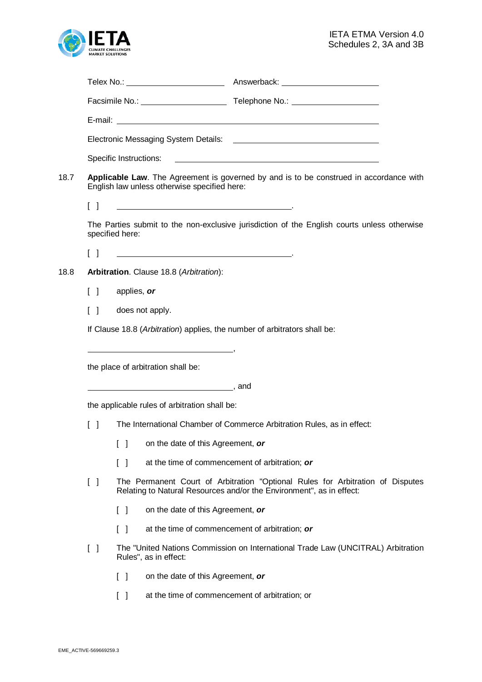

|      |                                 | Specific Instructions:                                                    | <u> 1989 - Johann Barbara, martin amerikan basar dan berasal dan berasal dalam basar dalam basar dalam basar dala</u>                                  |
|------|---------------------------------|---------------------------------------------------------------------------|--------------------------------------------------------------------------------------------------------------------------------------------------------|
| 18.7 |                                 | English law unless otherwise specified here:                              | Applicable Law. The Agreement is governed by and is to be construed in accordance with                                                                 |
|      | $\begin{bmatrix} \end{bmatrix}$ | <u> 1980 - Johann Barn, fransk politik (d. 1980)</u>                      |                                                                                                                                                        |
|      |                                 | specified here:                                                           | The Parties submit to the non-exclusive jurisdiction of the English courts unless otherwise                                                            |
|      | $\Box$                          | <u> 2008 - Jan Barnett, fransk politik (d. 1888)</u>                      |                                                                                                                                                        |
| 18.8 |                                 | Arbitration. Clause 18.8 (Arbitration):                                   |                                                                                                                                                        |
|      | $\Box$                          | applies, or                                                               |                                                                                                                                                        |
|      | $\Box$                          | does not apply.                                                           |                                                                                                                                                        |
|      |                                 | If Clause 18.8 (Arbitration) applies, the number of arbitrators shall be: |                                                                                                                                                        |
|      |                                 | <u> 1980 - Johann Barbara, martxa alemaniar arg</u>                       |                                                                                                                                                        |
|      |                                 | the place of arbitration shall be:                                        |                                                                                                                                                        |
|      |                                 |                                                                           |                                                                                                                                                        |
|      |                                 | the applicable rules of arbitration shall be:                             |                                                                                                                                                        |
|      |                                 |                                                                           | The International Chamber of Commerce Arbitration Rules, as in effect:                                                                                 |
|      |                                 | on the date of this Agreement, or<br>$\begin{bmatrix} \end{bmatrix}$      |                                                                                                                                                        |
|      |                                 | $\begin{bmatrix} 1 \end{bmatrix}$                                         | at the time of commencement of arbitration; or                                                                                                         |
|      | $\begin{bmatrix} \end{bmatrix}$ |                                                                           | The Permanent Court of Arbitration "Optional Rules for Arbitration of Disputes<br>Relating to Natural Resources and/or the Environment", as in effect: |
|      |                                 | on the date of this Agreement, or<br>$\begin{bmatrix} \end{bmatrix}$      |                                                                                                                                                        |
|      |                                 | $\begin{bmatrix} 1 \end{bmatrix}$                                         | at the time of commencement of arbitration; or                                                                                                         |
|      | $\begin{bmatrix} \end{bmatrix}$ | Rules", as in effect:                                                     | The "United Nations Commission on International Trade Law (UNCITRAL) Arbitration                                                                       |
|      |                                 | on the date of this Agreement, or<br>$\Box$                               |                                                                                                                                                        |
|      |                                 | $\begin{bmatrix} \end{bmatrix}$                                           | at the time of commencement of arbitration; or                                                                                                         |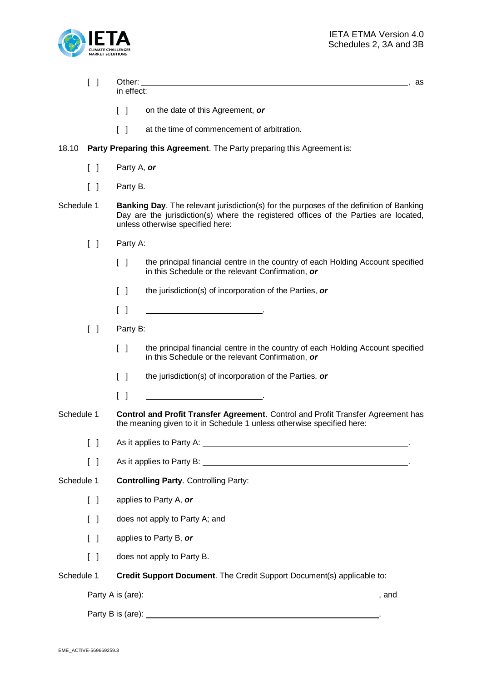

|            | $\begin{bmatrix} \\ \\ \end{bmatrix}$ | Other: $\_\_$<br>in effect:                                                                                                                                                                                                | as |
|------------|---------------------------------------|----------------------------------------------------------------------------------------------------------------------------------------------------------------------------------------------------------------------------|----|
|            |                                       | on the date of this Agreement, or<br>$\begin{bmatrix} \end{bmatrix}$                                                                                                                                                       |    |
|            |                                       | $\lceil \ \rceil$<br>at the time of commencement of arbitration.                                                                                                                                                           |    |
| 18.10      |                                       | Party Preparing this Agreement. The Party preparing this Agreement is:                                                                                                                                                     |    |
|            | $\begin{bmatrix} 1 \end{bmatrix}$     | Party A, or                                                                                                                                                                                                                |    |
|            | $\begin{bmatrix} \end{bmatrix}$       | Party B.                                                                                                                                                                                                                   |    |
| Schedule 1 |                                       | <b>Banking Day.</b> The relevant jurisdiction(s) for the purposes of the definition of Banking<br>Day are the jurisdiction(s) where the registered offices of the Parties are located,<br>unless otherwise specified here: |    |
|            | $\begin{bmatrix} \\ \\ \end{bmatrix}$ | Party A:                                                                                                                                                                                                                   |    |
|            |                                       | the principal financial centre in the country of each Holding Account specified<br>$\begin{bmatrix} \end{bmatrix}$<br>in this Schedule or the relevant Confirmation, or                                                    |    |
|            |                                       | the jurisdiction(s) of incorporation of the Parties, or<br>$\begin{bmatrix} \end{bmatrix}$                                                                                                                                 |    |
|            |                                       | $\begin{bmatrix} \\ \\ \end{bmatrix}$                                                                                                                                                                                      |    |
|            | $\begin{bmatrix} 1 \end{bmatrix}$     | Party B:                                                                                                                                                                                                                   |    |
|            |                                       | $\begin{bmatrix} \end{bmatrix}$<br>the principal financial centre in the country of each Holding Account specified<br>in this Schedule or the relevant Confirmation, or                                                    |    |
|            |                                       | the jurisdiction(s) of incorporation of the Parties, or<br>$\lceil \ \rceil$                                                                                                                                               |    |
|            |                                       | $\begin{bmatrix} \end{bmatrix}$                                                                                                                                                                                            |    |
| Schedule 1 |                                       | <b>Control and Profit Transfer Agreement.</b> Control and Profit Transfer Agreement has<br>the meaning given to it in Schedule 1 unless otherwise specified here:                                                          |    |
|            | $\begin{bmatrix} 1 \end{bmatrix}$     |                                                                                                                                                                                                                            |    |
|            | $\begin{bmatrix} \end{bmatrix}$       |                                                                                                                                                                                                                            |    |
| Schedule 1 |                                       | <b>Controlling Party. Controlling Party:</b>                                                                                                                                                                               |    |
|            | $\begin{bmatrix} 1 \end{bmatrix}$     | applies to Party A, or                                                                                                                                                                                                     |    |
|            | $\begin{bmatrix} \end{bmatrix}$       | does not apply to Party A; and                                                                                                                                                                                             |    |
|            | $\begin{bmatrix} 1 \end{bmatrix}$     | applies to Party B, or                                                                                                                                                                                                     |    |
|            | $\begin{bmatrix} 1 \end{bmatrix}$     | does not apply to Party B.                                                                                                                                                                                                 |    |
| Schedule 1 |                                       | Credit Support Document. The Credit Support Document(s) applicable to:                                                                                                                                                     |    |
|            |                                       |                                                                                                                                                                                                                            |    |
|            |                                       |                                                                                                                                                                                                                            |    |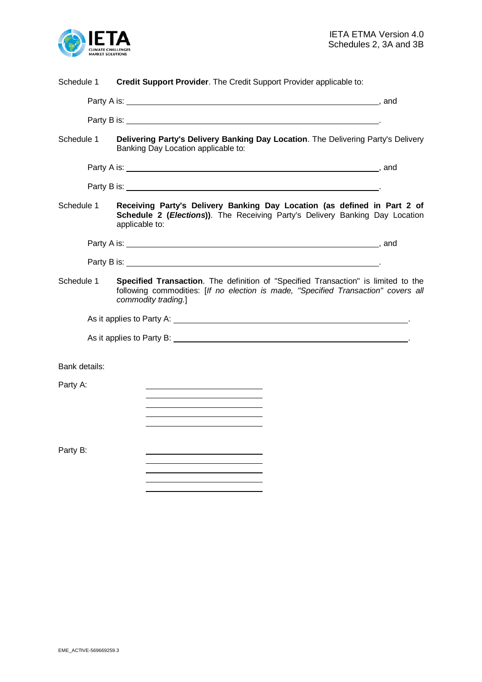

| Schedule 1    |                | <b>Credit Support Provider.</b> The Credit Support Provider applicable to:                                                                                                                                                     |                                                                                                                                                                          |
|---------------|----------------|--------------------------------------------------------------------------------------------------------------------------------------------------------------------------------------------------------------------------------|--------------------------------------------------------------------------------------------------------------------------------------------------------------------------|
|               |                |                                                                                                                                                                                                                                |                                                                                                                                                                          |
|               |                | Party B is: the contract of the contract of the contract of the contract of the contract of the contract of the contract of the contract of the contract of the contract of the contract of the contract of the contract of th |                                                                                                                                                                          |
| Schedule 1    |                | Banking Day Location applicable to:                                                                                                                                                                                            | Delivering Party's Delivery Banking Day Location. The Delivering Party's Delivery                                                                                        |
|               |                |                                                                                                                                                                                                                                |                                                                                                                                                                          |
|               |                | Party B is: the contract of the contract of the contract of the contract of the contract of the contract of the contract of the contract of the contract of the contract of the contract of the contract of the contract of th |                                                                                                                                                                          |
| Schedule 1    | applicable to: |                                                                                                                                                                                                                                | Receiving Party's Delivery Banking Day Location (as defined in Part 2 of<br>Schedule 2 (Elections)). The Receiving Party's Delivery Banking Day Location                 |
|               |                |                                                                                                                                                                                                                                |                                                                                                                                                                          |
|               |                |                                                                                                                                                                                                                                |                                                                                                                                                                          |
| Schedule 1    |                | commodity trading.]                                                                                                                                                                                                            | Specified Transaction. The definition of "Specified Transaction" is limited to the<br>following commodities: [If no election is made, "Specified Transaction" covers all |
|               |                | As it applies to Party A: Letter and the set of the set of the set of the set of the set of the set of the set of the set of the set of the set of the set of the set of the set of the set of the set of the set of the set o |                                                                                                                                                                          |
|               |                |                                                                                                                                                                                                                                |                                                                                                                                                                          |
| Bank details: |                |                                                                                                                                                                                                                                |                                                                                                                                                                          |
| Party A:      |                |                                                                                                                                                                                                                                |                                                                                                                                                                          |
|               |                |                                                                                                                                                                                                                                |                                                                                                                                                                          |
|               |                |                                                                                                                                                                                                                                |                                                                                                                                                                          |
| Party B:      |                |                                                                                                                                                                                                                                |                                                                                                                                                                          |
|               |                |                                                                                                                                                                                                                                |                                                                                                                                                                          |
|               |                |                                                                                                                                                                                                                                |                                                                                                                                                                          |
|               |                |                                                                                                                                                                                                                                |                                                                                                                                                                          |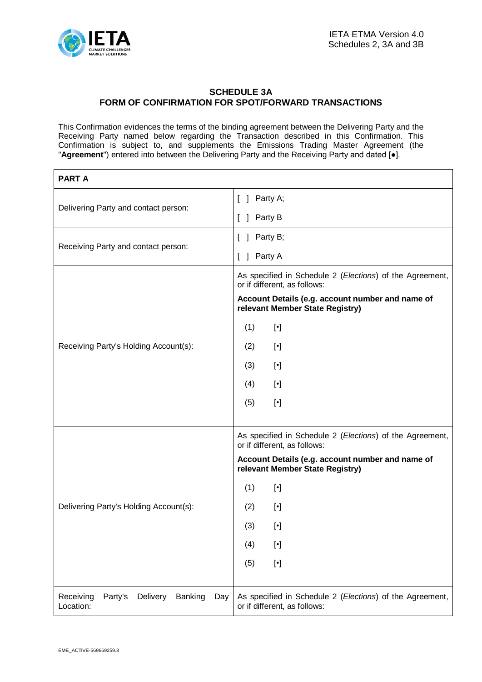

# **SCHEDULE 3A FORM OF CONFIRMATION FOR SPOT/FORWARD TRANSACTIONS**

This Confirmation evidences the terms of the binding agreement between the Delivering Party and the Receiving Party named below regarding the Transaction described in this Confirmation. This Confirmation is subject to, and supplements the Emissions Trading Master Agreement (the "**Agreement**") entered into between the Delivering Party and the Receiving Party and dated [●].

| <b>PART A</b>                                                   |                                                                                                                                                                                                                                                                                                                                                                                                                                                                                                              |  |  |
|-----------------------------------------------------------------|--------------------------------------------------------------------------------------------------------------------------------------------------------------------------------------------------------------------------------------------------------------------------------------------------------------------------------------------------------------------------------------------------------------------------------------------------------------------------------------------------------------|--|--|
|                                                                 | $[ ]$ Party A;                                                                                                                                                                                                                                                                                                                                                                                                                                                                                               |  |  |
| Delivering Party and contact person:                            | [ ] Party B                                                                                                                                                                                                                                                                                                                                                                                                                                                                                                  |  |  |
|                                                                 | $[ ]$ Party B;                                                                                                                                                                                                                                                                                                                                                                                                                                                                                               |  |  |
| Receiving Party and contact person:                             | [ ] Party A                                                                                                                                                                                                                                                                                                                                                                                                                                                                                                  |  |  |
|                                                                 | As specified in Schedule 2 (Elections) of the Agreement,<br>or if different, as follows:                                                                                                                                                                                                                                                                                                                                                                                                                     |  |  |
|                                                                 | Account Details (e.g. account number and name of<br>relevant Member State Registry)                                                                                                                                                                                                                                                                                                                                                                                                                          |  |  |
|                                                                 | (1)<br>$[\cdot]$                                                                                                                                                                                                                                                                                                                                                                                                                                                                                             |  |  |
| Receiving Party's Holding Account(s):                           | (2)<br>$[\cdot]$                                                                                                                                                                                                                                                                                                                                                                                                                                                                                             |  |  |
|                                                                 | (3)                                                                                                                                                                                                                                                                                                                                                                                                                                                                                                          |  |  |
|                                                                 | (4)<br>$[\cdot]$                                                                                                                                                                                                                                                                                                                                                                                                                                                                                             |  |  |
|                                                                 | (5)                                                                                                                                                                                                                                                                                                                                                                                                                                                                                                          |  |  |
|                                                                 |                                                                                                                                                                                                                                                                                                                                                                                                                                                                                                              |  |  |
|                                                                 | As specified in Schedule 2 (Elections) of the Agreement,<br>or if different, as follows:                                                                                                                                                                                                                                                                                                                                                                                                                     |  |  |
|                                                                 | Account Details (e.g. account number and name of<br>relevant Member State Registry)                                                                                                                                                                                                                                                                                                                                                                                                                          |  |  |
|                                                                 | (1)                                                                                                                                                                                                                                                                                                                                                                                                                                                                                                          |  |  |
| Delivering Party's Holding Account(s):                          | (2)<br>$[\cdot]$                                                                                                                                                                                                                                                                                                                                                                                                                                                                                             |  |  |
|                                                                 | (3)<br>$[\cdot] % \centering \includegraphics[width=0.9\textwidth]{images/TrDiM-Architecture.png} % \caption{The first two different values of $d \sim \tfrac{1}{\sqrt{2}}$ and $d \sim \tfrac{1}{\sqrt{2}}$ and $d \sim \tfrac{1}{\sqrt{2}}$ for $d \sim \tfrac{1}{\sqrt{2}}$ and $d \sim \tfrac{1}{\sqrt{2}}$ for $d \sim \tfrac{1}{\sqrt{2}}$ for $d \sim \tfrac{1}{\sqrt{2}}$ for $d \sim \tfrac{1}{\sqrt{2}}$ for $d \sim \tfrac{1}{\sqrt{2}}$ for $d \sim \tfrac{1}{\sqrt{2}}$ for $d \sim \tfrac{1}{$ |  |  |
|                                                                 | (4)<br>$[\cdot]$                                                                                                                                                                                                                                                                                                                                                                                                                                                                                             |  |  |
|                                                                 | (5)<br>$[\cdot]$                                                                                                                                                                                                                                                                                                                                                                                                                                                                                             |  |  |
|                                                                 |                                                                                                                                                                                                                                                                                                                                                                                                                                                                                                              |  |  |
| Party's<br>Delivery<br>Banking<br>Receiving<br>Day<br>Location: | As specified in Schedule 2 (Elections) of the Agreement,<br>or if different, as follows:                                                                                                                                                                                                                                                                                                                                                                                                                     |  |  |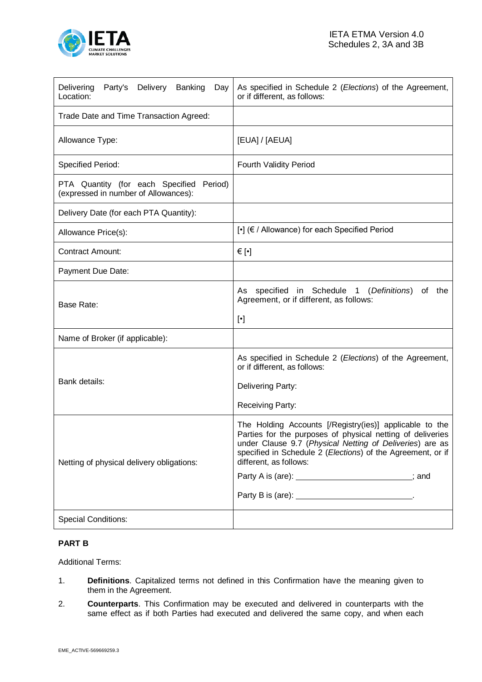

| Party's<br>Delivery<br>Delivering<br>Banking<br>Day<br>Location:                    | As specified in Schedule 2 ( <i>Elections</i> ) of the Agreement,<br>or if different, as follows:                                                                                                                                                                          |
|-------------------------------------------------------------------------------------|----------------------------------------------------------------------------------------------------------------------------------------------------------------------------------------------------------------------------------------------------------------------------|
| Trade Date and Time Transaction Agreed:                                             |                                                                                                                                                                                                                                                                            |
| Allowance Type:                                                                     | [EUA] / [AEUA]                                                                                                                                                                                                                                                             |
| Specified Period:                                                                   | Fourth Validity Period                                                                                                                                                                                                                                                     |
| PTA Quantity (for each Specified<br>Period)<br>(expressed in number of Allowances): |                                                                                                                                                                                                                                                                            |
| Delivery Date (for each PTA Quantity):                                              |                                                                                                                                                                                                                                                                            |
| Allowance Price(s):                                                                 | [•] (€ / Allowance) for each Specified Period                                                                                                                                                                                                                              |
| <b>Contract Amount:</b>                                                             | € [•]                                                                                                                                                                                                                                                                      |
| Payment Due Date:                                                                   |                                                                                                                                                                                                                                                                            |
| Base Rate:                                                                          | specified in Schedule 1 (Definitions) of the<br>Asl<br>Agreement, or if different, as follows:                                                                                                                                                                             |
|                                                                                     | $[\cdot]$                                                                                                                                                                                                                                                                  |
| Name of Broker (if applicable):                                                     |                                                                                                                                                                                                                                                                            |
|                                                                                     | As specified in Schedule 2 (Elections) of the Agreement,<br>or if different, as follows:                                                                                                                                                                                   |
| Bank details:                                                                       | Delivering Party:                                                                                                                                                                                                                                                          |
|                                                                                     | Receiving Party:                                                                                                                                                                                                                                                           |
| Netting of physical delivery obligations:                                           | The Holding Accounts [/Registry(ies)] applicable to the<br>Parties for the purposes of physical netting of deliveries<br>under Clause 9.7 (Physical Netting of Deliveries) are as<br>specified in Schedule 2 (Elections) of the Agreement, or if<br>different, as follows: |
|                                                                                     | Party A is (are): ___________________________; and                                                                                                                                                                                                                         |
|                                                                                     | Party B is (are): _________________________________.                                                                                                                                                                                                                       |
| <b>Special Conditions:</b>                                                          |                                                                                                                                                                                                                                                                            |

# **PART B**

Additional Terms:

- 1. **Definitions**. Capitalized terms not defined in this Confirmation have the meaning given to them in the Agreement.
- 2. **Counterparts**. This Confirmation may be executed and delivered in counterparts with the same effect as if both Parties had executed and delivered the same copy, and when each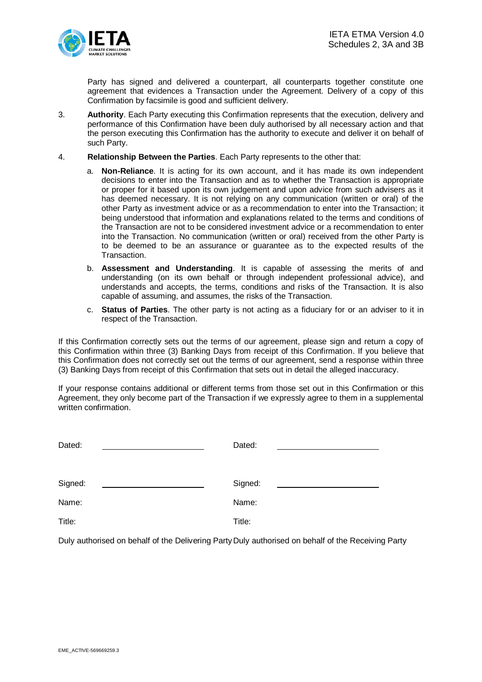

Party has signed and delivered a counterpart, all counterparts together constitute one agreement that evidences a Transaction under the Agreement. Delivery of a copy of this Confirmation by facsimile is good and sufficient delivery.

- 3. **Authority**. Each Party executing this Confirmation represents that the execution, delivery and performance of this Confirmation have been duly authorised by all necessary action and that the person executing this Confirmation has the authority to execute and deliver it on behalf of such Party.
- 4. **Relationship Between the Parties**. Each Party represents to the other that:
	- a. **Non-Reliance**. It is acting for its own account, and it has made its own independent decisions to enter into the Transaction and as to whether the Transaction is appropriate or proper for it based upon its own judgement and upon advice from such advisers as it has deemed necessary. It is not relying on any communication (written or oral) of the other Party as investment advice or as a recommendation to enter into the Transaction; it being understood that information and explanations related to the terms and conditions of the Transaction are not to be considered investment advice or a recommendation to enter into the Transaction. No communication (written or oral) received from the other Party is to be deemed to be an assurance or guarantee as to the expected results of the Transaction.
	- b. **Assessment and Understanding**. It is capable of assessing the merits of and understanding (on its own behalf or through independent professional advice), and understands and accepts, the terms, conditions and risks of the Transaction. It is also capable of assuming, and assumes, the risks of the Transaction.
	- c. **Status of Parties**. The other party is not acting as a fiduciary for or an adviser to it in respect of the Transaction.

If this Confirmation correctly sets out the terms of our agreement, please sign and return a copy of this Confirmation within three (3) Banking Days from receipt of this Confirmation. If you believe that this Confirmation does not correctly set out the terms of our agreement, send a response within three (3) Banking Days from receipt of this Confirmation that sets out in detail the alleged inaccuracy.

If your response contains additional or different terms from those set out in this Confirmation or this Agreement, they only become part of the Transaction if we expressly agree to them in a supplemental written confirmation.

| Dated:           | Dated:           |
|------------------|------------------|
| Signed:<br>Name: | Signed:<br>Name: |
| Title:           | Title:           |

Duly authorised on behalf of the Delivering PartyDuly authorised on behalf of the Receiving Party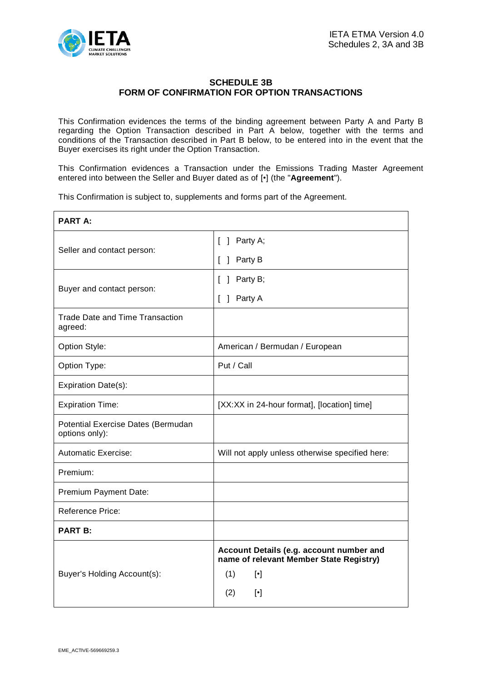

## **SCHEDULE 3B FORM OF CONFIRMATION FOR OPTION TRANSACTIONS**

This Confirmation evidences the terms of the binding agreement between Party A and Party B regarding the Option Transaction described in Part A below, together with the terms and conditions of the Transaction described in Part B below, to be entered into in the event that the Buyer exercises its right under the Option Transaction.

This Confirmation evidences a Transaction under the Emissions Trading Master Agreement entered into between the Seller and Buyer dated as of [•] (the "**Agreement**").

This Confirmation is subject to, supplements and forms part of the Agreement.

| <b>PART A:</b>                                       |                                                                                     |
|------------------------------------------------------|-------------------------------------------------------------------------------------|
| Seller and contact person:                           | $[ ]$ Party A;                                                                      |
|                                                      | [ ] Party B                                                                         |
| Buyer and contact person:                            | $[ ]$ Party B;                                                                      |
|                                                      | Party A<br>$\Box$                                                                   |
| <b>Trade Date and Time Transaction</b><br>agreed:    |                                                                                     |
| Option Style:                                        | American / Bermudan / European                                                      |
| Option Type:                                         | Put / Call                                                                          |
| Expiration Date(s):                                  |                                                                                     |
| <b>Expiration Time:</b>                              | [XX:XX in 24-hour format], [location] time]                                         |
| Potential Exercise Dates (Bermudan<br>options only): |                                                                                     |
| <b>Automatic Exercise:</b>                           | Will not apply unless otherwise specified here:                                     |
| Premium:                                             |                                                                                     |
| Premium Payment Date:                                |                                                                                     |
| Reference Price:                                     |                                                                                     |
| <b>PART B:</b>                                       |                                                                                     |
| Buyer's Holding Account(s):                          | Account Details (e.g. account number and<br>name of relevant Member State Registry) |
|                                                      | (1)<br>$[\cdot]$                                                                    |
|                                                      | (2)<br>$[\cdot]$                                                                    |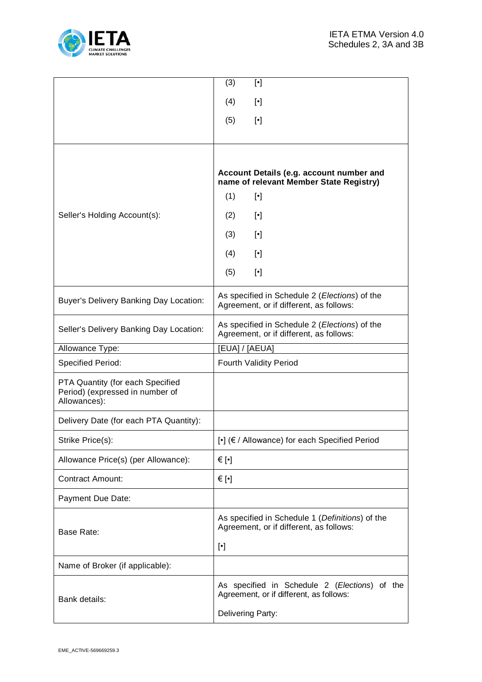

|                                                                                     | (3)<br>$[\cdot]$                                                                                                                                                                                                                                                                                                                                                                                                                                                                                             |
|-------------------------------------------------------------------------------------|--------------------------------------------------------------------------------------------------------------------------------------------------------------------------------------------------------------------------------------------------------------------------------------------------------------------------------------------------------------------------------------------------------------------------------------------------------------------------------------------------------------|
|                                                                                     | (4)<br>$[\cdot]$                                                                                                                                                                                                                                                                                                                                                                                                                                                                                             |
|                                                                                     | (5)<br>$[\cdot]$                                                                                                                                                                                                                                                                                                                                                                                                                                                                                             |
|                                                                                     |                                                                                                                                                                                                                                                                                                                                                                                                                                                                                                              |
|                                                                                     | Account Details (e.g. account number and<br>name of relevant Member State Registry)                                                                                                                                                                                                                                                                                                                                                                                                                          |
|                                                                                     | (1)<br>$[\cdot]$                                                                                                                                                                                                                                                                                                                                                                                                                                                                                             |
| Seller's Holding Account(s):                                                        | $[\cdot]$<br>(2)                                                                                                                                                                                                                                                                                                                                                                                                                                                                                             |
|                                                                                     | (3)<br>$[\cdot]$                                                                                                                                                                                                                                                                                                                                                                                                                                                                                             |
|                                                                                     | (4)<br>$[\cdot]$                                                                                                                                                                                                                                                                                                                                                                                                                                                                                             |
|                                                                                     | $[\cdot] % \centering \includegraphics[width=0.9\textwidth]{images/TrDiM-Architecture.png} % \caption{The first two different values of $d \sim \tfrac{1}{\sqrt{2}}$ and $d \sim \tfrac{1}{\sqrt{2}}$ and $d \sim \tfrac{1}{\sqrt{2}}$ for $d \sim \tfrac{1}{\sqrt{2}}$ and $d \sim \tfrac{1}{\sqrt{2}}$ for $d \sim \tfrac{1}{\sqrt{2}}$ for $d \sim \tfrac{1}{\sqrt{2}}$ for $d \sim \tfrac{1}{\sqrt{2}}$ for $d \sim \tfrac{1}{\sqrt{2}}$ for $d \sim \tfrac{1}{\sqrt{2}}$ for $d \sim \tfrac{1}{$<br>(5) |
| <b>Buyer's Delivery Banking Day Location:</b>                                       | As specified in Schedule 2 (Elections) of the<br>Agreement, or if different, as follows:                                                                                                                                                                                                                                                                                                                                                                                                                     |
| Seller's Delivery Banking Day Location:                                             | As specified in Schedule 2 (Elections) of the<br>Agreement, or if different, as follows:                                                                                                                                                                                                                                                                                                                                                                                                                     |
| Allowance Type:                                                                     | [EUA] / [AEUA]                                                                                                                                                                                                                                                                                                                                                                                                                                                                                               |
| <b>Specified Period:</b>                                                            | Fourth Validity Period                                                                                                                                                                                                                                                                                                                                                                                                                                                                                       |
| PTA Quantity (for each Specified<br>Period) (expressed in number of<br>Allowances): |                                                                                                                                                                                                                                                                                                                                                                                                                                                                                                              |
| Delivery Date (for each PTA Quantity):                                              |                                                                                                                                                                                                                                                                                                                                                                                                                                                                                                              |
| Strike Price(s):                                                                    | [•] (€ / Allowance) for each Specified Period                                                                                                                                                                                                                                                                                                                                                                                                                                                                |
| Allowance Price(s) (per Allowance):                                                 | € [•]                                                                                                                                                                                                                                                                                                                                                                                                                                                                                                        |
| <b>Contract Amount:</b>                                                             | € [•]                                                                                                                                                                                                                                                                                                                                                                                                                                                                                                        |
| Payment Due Date:                                                                   |                                                                                                                                                                                                                                                                                                                                                                                                                                                                                                              |
| <b>Base Rate:</b>                                                                   | As specified in Schedule 1 (Definitions) of the<br>Agreement, or if different, as follows:                                                                                                                                                                                                                                                                                                                                                                                                                   |
|                                                                                     | $[\cdot]$                                                                                                                                                                                                                                                                                                                                                                                                                                                                                                    |
| Name of Broker (if applicable):                                                     |                                                                                                                                                                                                                                                                                                                                                                                                                                                                                                              |
| Bank details:                                                                       | As specified in Schedule 2 (Elections) of the<br>Agreement, or if different, as follows:<br>Delivering Party:                                                                                                                                                                                                                                                                                                                                                                                                |
|                                                                                     |                                                                                                                                                                                                                                                                                                                                                                                                                                                                                                              |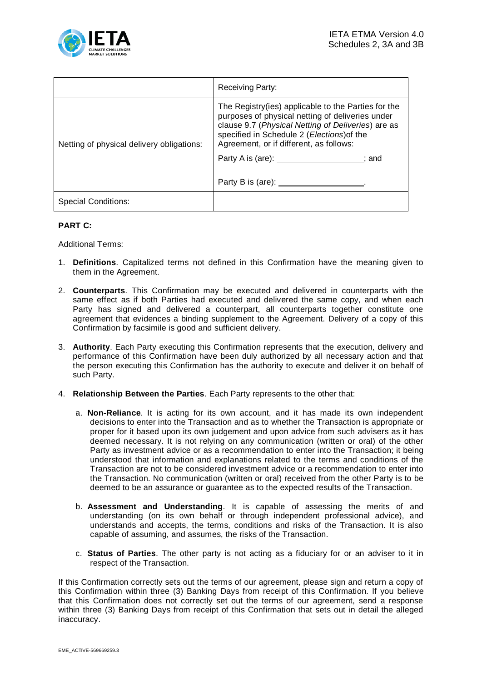

|                                           | <b>Receiving Party:</b>                                                                                                                                                                                                                                 |
|-------------------------------------------|---------------------------------------------------------------------------------------------------------------------------------------------------------------------------------------------------------------------------------------------------------|
| Netting of physical delivery obligations: | The Registry (ies) applicable to the Parties for the<br>purposes of physical netting of deliveries under<br>clause 9.7 (Physical Netting of Deliveries) are as<br>specified in Schedule 2 (Elections) of the<br>Agreement, or if different, as follows: |
|                                           | ∶ and                                                                                                                                                                                                                                                   |
|                                           | Party B is (are): <u>________</u>                                                                                                                                                                                                                       |
| Special Conditions:                       |                                                                                                                                                                                                                                                         |

#### **PART C:**

Additional Terms:

- 1. **Definitions**. Capitalized terms not defined in this Confirmation have the meaning given to them in the Agreement.
- 2. **Counterparts**. This Confirmation may be executed and delivered in counterparts with the same effect as if both Parties had executed and delivered the same copy, and when each Party has signed and delivered a counterpart, all counterparts together constitute one agreement that evidences a binding supplement to the Agreement. Delivery of a copy of this Confirmation by facsimile is good and sufficient delivery.
- 3. **Authority**. Each Party executing this Confirmation represents that the execution, delivery and performance of this Confirmation have been duly authorized by all necessary action and that the person executing this Confirmation has the authority to execute and deliver it on behalf of such Party.
- 4. **Relationship Between the Parties**. Each Party represents to the other that:
	- a. **Non-Reliance**. It is acting for its own account, and it has made its own independent decisions to enter into the Transaction and as to whether the Transaction is appropriate or proper for it based upon its own judgement and upon advice from such advisers as it has deemed necessary. It is not relying on any communication (written or oral) of the other Party as investment advice or as a recommendation to enter into the Transaction; it being understood that information and explanations related to the terms and conditions of the Transaction are not to be considered investment advice or a recommendation to enter into the Transaction. No communication (written or oral) received from the other Party is to be deemed to be an assurance or guarantee as to the expected results of the Transaction.
	- b. **Assessment and Understanding**. It is capable of assessing the merits of and understanding (on its own behalf or through independent professional advice), and understands and accepts, the terms, conditions and risks of the Transaction. It is also capable of assuming, and assumes, the risks of the Transaction.
	- c. **Status of Parties**. The other party is not acting as a fiduciary for or an adviser to it in respect of the Transaction.

If this Confirmation correctly sets out the terms of our agreement, please sign and return a copy of this Confirmation within three (3) Banking Days from receipt of this Confirmation. If you believe that this Confirmation does not correctly set out the terms of our agreement, send a response within three (3) Banking Days from receipt of this Confirmation that sets out in detail the alleged inaccuracy.